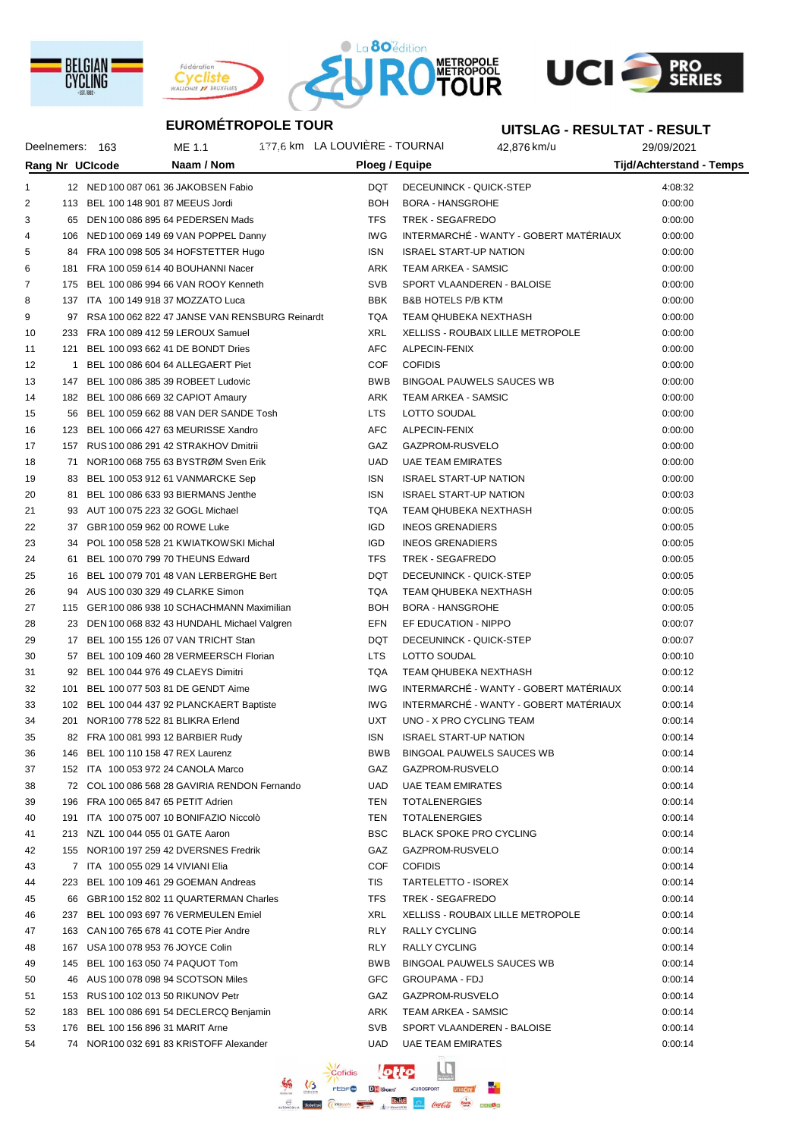







#### **UITSLAG - RESULTAT - RESULT**

|    |              | Deelnemers: 163 | ME 1.1                                            | 177.6 km LA LOUVIERE - TOURNAI |            |                                | 42,876 km/u                              | 29/09/2021                      |  |
|----|--------------|-----------------|---------------------------------------------------|--------------------------------|------------|--------------------------------|------------------------------------------|---------------------------------|--|
|    |              | Rang Nr UCIcode | Naam / Nom                                        |                                |            | Ploeg / Equipe                 |                                          | <b>Tijd/Achterstand - Temps</b> |  |
| 1  |              |                 | 12 NED 100 087 061 36 JAKOBSEN Fabio              |                                | DQT        | DECEUNINCK - QUICK-STEP        |                                          | 4:08:32                         |  |
| 2  |              |                 | 113 BEL 100 148 901 87 MEEUS Jordi                |                                | <b>BOH</b> | <b>BORA - HANSGROHE</b>        |                                          | 0:00:00                         |  |
| 3  | 65           |                 | DEN 100 086 895 64 PEDERSEN Mads                  |                                | <b>TFS</b> | TREK - SEGAFREDO               |                                          | 0:00:00                         |  |
| 4  |              |                 | 106 NED 100 069 149 69 VAN POPPEL Danny           |                                | <b>IWG</b> |                                | INTERMARCHÉ - WANTY - GOBERT MATERIAUX   | 0:00:00                         |  |
| 5  |              |                 | 84 FRA 100 098 505 34 HOFSTETTER Hugo             |                                | ISN        | <b>ISRAEL START-UP NATION</b>  |                                          | 0:00:00                         |  |
| 6  |              |                 |                                                   |                                | ARK        | <b>TEAM ARKEA - SAMSIC</b>     |                                          | 0:00:00                         |  |
|    |              |                 | 181 FRA 100 059 614 40 BOUHANNI Nacer             |                                |            |                                |                                          |                                 |  |
| 7  |              |                 | 175 BEL 100 086 994 66 VAN ROOY Kenneth           |                                | <b>SVB</b> |                                | SPORT VLAANDEREN - BALOISE               | 0:00:00                         |  |
| 8  |              |                 | 137 ITA 100 149 918 37 MOZZATO Luca               |                                | <b>BBK</b> | <b>B&amp;B HOTELS P/B KTM</b>  |                                          | 0:00:00                         |  |
| 9  |              |                 | 97 RSA 100 062 822 47 JANSE VAN RENSBURG Reinardt |                                | <b>TQA</b> | TEAM QHUBEKA NEXTHASH          |                                          | 0:00:00                         |  |
| 10 |              |                 | 233 FRA 100 089 412 59 LEROUX Samuel              |                                | <b>XRL</b> |                                | <b>XELLISS - ROUBAIX LILLE METROPOLE</b> | 0:00:00                         |  |
| 11 | 121          |                 | BEL 100 093 662 41 DE BONDT Dries                 |                                | AFC        | ALPECIN-FENIX                  |                                          | 0:00:00                         |  |
| 12 | $\mathbf{1}$ |                 | BEL 100 086 604 64 ALLEGAERT Piet                 |                                | COF        | <b>COFIDIS</b>                 |                                          | 0:00:00                         |  |
| 13 |              |                 | 147 BEL 100 086 385 39 ROBEET Ludovic             |                                | <b>BWB</b> |                                | <b>BINGOAL PAUWELS SAUCES WB</b>         | 0:00:00                         |  |
| 14 |              |                 | 182 BEL 100 086 669 32 CAPIOT Amaury              |                                | ARK        | TEAM ARKEA - SAMSIC            |                                          | 0:00:00                         |  |
| 15 |              |                 | 56 BEL 100 059 662 88 VAN DER SANDE Tosh          |                                | <b>LTS</b> | LOTTO SOUDAL                   |                                          | 0:00:00                         |  |
| 16 |              |                 | 123 BEL 100 066 427 63 MEURISSE Xandro            |                                | AFC        | ALPECIN-FENIX                  |                                          | 0:00:00                         |  |
| 17 |              |                 | 157 RUS 100 086 291 42 STRAKHOV Dmitrii           |                                | GAZ        | GAZPROM-RUSVELO                |                                          | 0:00:00                         |  |
| 18 |              |                 | 71 NOR 100 068 755 63 BYSTRØM Sven Erik           |                                | <b>UAD</b> | <b>UAE TEAM EMIRATES</b>       |                                          | 0:00:00                         |  |
| 19 |              |                 | 83 BEL 100 053 912 61 VANMARCKE Sep               |                                | <b>ISN</b> | <b>ISRAEL START-UP NATION</b>  |                                          | 0:00:00                         |  |
| 20 | 81.          |                 | BEL 100 086 633 93 BIERMANS Jenthe                |                                | <b>ISN</b> | <b>ISRAEL START-UP NATION</b>  |                                          | 0:00:03                         |  |
| 21 |              |                 | 93 AUT 100 075 223 32 GOGL Michael                |                                | <b>TQA</b> | TEAM QHUBEKA NEXTHASH          |                                          | 0:00:05                         |  |
| 22 |              |                 | 37 GBR 100 059 962 00 ROWE Luke                   |                                | <b>IGD</b> | <b>INEOS GRENADIERS</b>        |                                          | 0:00:05                         |  |
| 23 | 34           |                 | POL 100 058 528 21 KWIATKOWSKI Michal             |                                | <b>IGD</b> | <b>INEOS GRENADIERS</b>        |                                          | 0:00:05                         |  |
| 24 | 61.          |                 | BEL 100 070 799 70 THEUNS Edward                  |                                | <b>TFS</b> | <b>TREK - SEGAFREDO</b>        |                                          | 0:00:05                         |  |
| 25 |              |                 | 16 BEL 100 079 701 48 VAN LERBERGHE Bert          |                                | DQT        | DECEUNINCK - QUICK-STEP        |                                          | 0:00:05                         |  |
| 26 |              |                 | 94 AUS 100 030 329 49 CLARKE Simon                |                                | <b>TQA</b> | TEAM QHUBEKA NEXTHASH          |                                          | 0:00:05                         |  |
| 27 |              |                 | 115 GER 100 086 938 10 SCHACHMANN Maximilian      |                                | <b>BOH</b> | <b>BORA - HANSGROHE</b>        |                                          | 0:00:05                         |  |
| 28 |              |                 | 23 DEN 100 068 832 43 HUNDAHL Michael Valgren     |                                | EFN        | EF EDUCATION - NIPPO           |                                          | 0:00:07                         |  |
| 29 |              |                 | 17 BEL 100 155 126 07 VAN TRICHT Stan             |                                | <b>DQT</b> | DECEUNINCK - QUICK-STEP        |                                          | 0:00:07                         |  |
| 30 |              |                 | 57 BEL 100 109 460 28 VERMEERSCH Florian          |                                | <b>LTS</b> | LOTTO SOUDAL                   |                                          | 0:00:10                         |  |
| 31 |              |                 | 92 BEL 100 044 976 49 CLAEYS Dimitri              |                                | <b>TQA</b> | TEAM QHUBEKA NEXTHASH          |                                          | 0:00:12                         |  |
| 32 |              |                 | 101 BEL 100 077 503 81 DE GENDT Aime              |                                | <b>IWG</b> |                                | INTERMARCHÉ - WANTY - GOBERT MATÉRIAUX   | 0:00:14                         |  |
| 33 |              |                 | 102 BEL 100 044 437 92 PLANCKAERT Baptiste        |                                | <b>IWG</b> |                                | INTERMARCHÉ - WANTY - GOBERT MATÉRIAUX   | 0:00:14                         |  |
| 34 |              |                 | 201 NOR 100 778 522 81 BLIKRA Erlend              |                                | <b>UXT</b> | UNO - X PRO CYCLING TEAM       |                                          | 0:00:14                         |  |
| 35 |              |                 | 82 FRA 100 081 993 12 BARBIER Rudy                |                                | <b>ISN</b> | <b>ISRAEL START-UP NATION</b>  |                                          | 0:00:14                         |  |
| 36 |              |                 | 146 BEL 100 110 158 47 REX Laurenz                |                                | BWB        |                                | BINGOAL PAUWELS SAUCES WB                | 0:00:14                         |  |
| 37 |              |                 | 152 ITA 100 053 972 24 CANOLA Marco               |                                | GAZ        | GAZPROM-RUSVELO                |                                          | 0:00:14                         |  |
| 38 |              |                 | 72 COL 100 086 568 28 GAVIRIA RENDON Fernando     |                                | <b>UAD</b> | <b>UAE TEAM EMIRATES</b>       |                                          | 0:00:14                         |  |
| 39 |              |                 | 196 FRA 100 065 847 65 PETIT Adrien               |                                | TEN        | <b>TOTALENERGIES</b>           |                                          | 0:00:14                         |  |
| 40 |              |                 | 191 ITA 100 075 007 10 BONIFAZIO Niccolò          |                                | TEN        | <b>TOTALENERGIES</b>           |                                          | 0:00:14                         |  |
| 41 |              |                 | 213 NZL 100 044 055 01 GATE Aaron                 |                                | <b>BSC</b> | <b>BLACK SPOKE PRO CYCLING</b> |                                          | 0:00:14                         |  |
| 42 |              |                 | 155 NOR 100 197 259 42 DVERSNES Fredrik           |                                | GAZ        | GAZPROM-RUSVELO                |                                          | 0:00:14                         |  |
| 43 |              |                 | 7 ITA 100 055 029 14 VIVIANI Elia                 |                                | COF        | <b>COFIDIS</b>                 |                                          | 0:00:14                         |  |
| 44 |              |                 | 223 BEL 100 109 461 29 GOEMAN Andreas             |                                | TIS        | TARTELETTO - ISOREX            |                                          | 0:00:14                         |  |
| 45 |              |                 | 66 GBR 100 152 802 11 QUARTERMAN Charles          |                                | <b>TFS</b> | TREK - SEGAFREDO               |                                          | 0:00:14                         |  |
| 46 |              |                 | 237 BEL 100 093 697 76 VERMEULEN Emiel            |                                | XRL        |                                | <b>XELLISS - ROUBAIX LILLE METROPOLE</b> | 0:00:14                         |  |
| 47 |              |                 | 163 CAN 100 765 678 41 COTE Pier Andre            |                                | <b>RLY</b> | RALLY CYCLING                  |                                          | 0:00:14                         |  |
| 48 |              |                 | 167 USA 100 078 953 76 JOYCE Colin                |                                | <b>RLY</b> | RALLY CYCLING                  |                                          | 0:00:14                         |  |
| 49 |              |                 | 145 BEL 100 163 050 74 PAQUOT Tom                 |                                | BWB        |                                | BINGOAL PAUWELS SAUCES WB                | 0:00:14                         |  |
| 50 |              |                 | 46 AUS 100 078 098 94 SCOTSON Miles               |                                | GFC        | <b>GROUPAMA - FDJ</b>          |                                          | 0:00:14                         |  |
|    |              |                 |                                                   |                                | GAZ        |                                |                                          | 0:00:14                         |  |
| 51 |              |                 | 153 RUS 100 102 013 50 RIKUNOV Petr               |                                |            | GAZPROM-RUSVELO                |                                          | 0:00:14                         |  |
| 52 |              |                 | 183 BEL 100 086 691 54 DECLERCQ Benjamin          |                                | ARK        | TEAM ARKEA - SAMSIC            |                                          |                                 |  |
| 53 |              |                 | 176 BEL 100 156 896 31 MARIT Arne                 |                                | <b>SVB</b> |                                | SPORT VLAANDEREN - BALOISE               | 0:00:14                         |  |
| 54 |              |                 | 74 NOR 100 032 691 83 KRISTOFF Alexander          |                                | <b>UAD</b> | <b>UAE TEAM EMIRATES</b>       |                                          | 0:00:14                         |  |

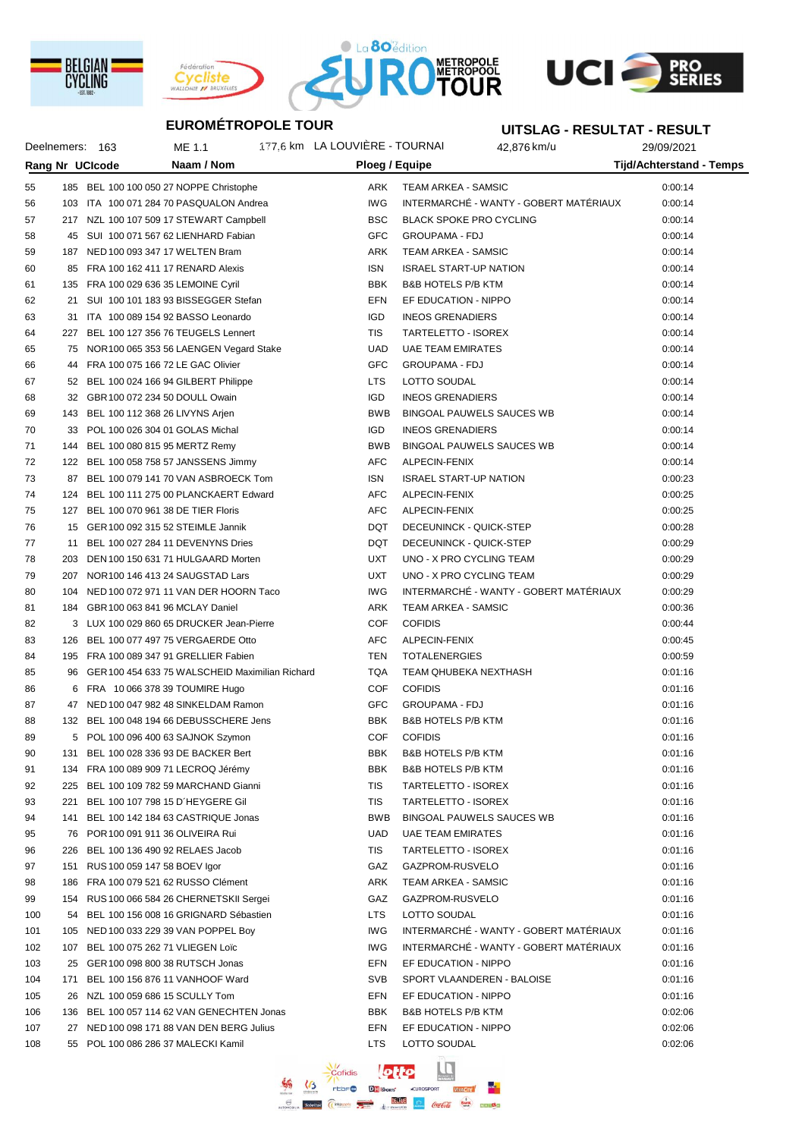







# **UITSLAG - RESULTAT - RESULT**

| Deelnemers: 163        |     | ME 1.1                                                                      |                                                    | 177,6 km LA LOUVIÈRE - TOURNAI |                          | 42,876 km/u           | 29/09/2021                             |                                 |  |
|------------------------|-----|-----------------------------------------------------------------------------|----------------------------------------------------|--------------------------------|--------------------------|-----------------------|----------------------------------------|---------------------------------|--|
| <b>Rang Nr UCIcode</b> |     |                                                                             | Naam / Nom                                         |                                |                          | Ploeg / Equipe        |                                        | <b>Tijd/Achterstand - Temps</b> |  |
| 55                     |     | 185 BEL 100 100 050 27 NOPPE Christophe                                     |                                                    |                                | ARK                      |                       | <b>TEAM ARKEA - SAMSIC</b>             | 0:00:14                         |  |
| 56                     |     |                                                                             | 103 ITA 100 071 284 70 PASQUALON Andrea            |                                | IWG                      |                       | INTERMARCHÉ - WANTY - GOBERT MATÉRIAUX | 0:00:14                         |  |
| 57                     |     |                                                                             | 217 NZL 100 107 509 17 STEWART Campbell            |                                | <b>BSC</b>               |                       | <b>BLACK SPOKE PRO CYCLING</b>         | 0:00:14                         |  |
| 58                     |     | 45 SUI 100 071 567 62 LIENHARD Fabian                                       |                                                    |                                | <b>GFC</b>               | <b>GROUPAMA - FDJ</b> |                                        | 0:00:14                         |  |
| 59                     |     | 187 NED 100 093 347 17 WELTEN Bram                                          |                                                    |                                | ARK                      |                       | TEAM ARKEA - SAMSIC                    | 0:00:14                         |  |
| 60                     |     | 85 FRA 100 162 411 17 RENARD Alexis                                         |                                                    |                                | <b>ISN</b>               |                       | <b>ISRAEL START-UP NATION</b>          | 0:00:14                         |  |
| 61                     |     | 135 FRA 100 029 636 35 LEMOINE Cyril                                        |                                                    |                                | <b>BBK</b>               |                       | <b>B&amp;B HOTELS P/B KTM</b>          | 0:00:14                         |  |
| 62                     | 21  |                                                                             | SUI 100 101 183 93 BISSEGGER Stefan                |                                | <b>EFN</b>               |                       | EF EDUCATION - NIPPO                   | 0:00:14                         |  |
| 63                     |     | 31 ITA 100 089 154 92 BASSO Leonardo                                        |                                                    |                                | <b>IGD</b>               |                       | <b>INEOS GRENADIERS</b>                | 0:00:14                         |  |
| 64                     |     | 227 BEL 100 127 356 76 TEUGELS Lennert                                      |                                                    |                                | TIS                      |                       | TARTELETTO - ISOREX                    | 0:00:14                         |  |
| 65                     |     |                                                                             | 75 NOR 100 065 353 56 LAENGEN Vegard Stake         |                                | <b>UAD</b>               |                       | <b>UAE TEAM EMIRATES</b>               | 0:00:14                         |  |
| 66                     |     | 44 FRA 100 075 166 72 LE GAC Olivier                                        |                                                    |                                | GFC                      | <b>GROUPAMA - FDJ</b> |                                        | 0:00:14                         |  |
| 67                     |     |                                                                             |                                                    |                                | <b>LTS</b>               | LOTTO SOUDAL          |                                        | 0:00:14                         |  |
| 68                     |     | 52 BEL 100 024 166 94 GILBERT Philippe<br>32 GBR 100 072 234 50 DOULL Owain |                                                    |                                | <b>IGD</b>               |                       | <b>INEOS GRENADIERS</b>                | 0:00:14                         |  |
| 69                     |     |                                                                             |                                                    |                                | <b>BWB</b>               |                       | BINGOAL PAUWELS SAUCES WB              | 0:00:14                         |  |
|                        |     | 143 BEL 100 112 368 26 LIVYNS Arjen<br>33 POL 100 026 304 01 GOLAS Michal   |                                                    |                                | <b>IGD</b>               |                       | <b>INEOS GRENADIERS</b>                |                                 |  |
| 70                     |     |                                                                             |                                                    |                                | <b>BWB</b>               |                       |                                        | 0:00:14                         |  |
| 71                     |     | 144 BEL 100 080 815 95 MERTZ Remy                                           |                                                    |                                | <b>AFC</b>               | ALPECIN-FENIX         | BINGOAL PAUWELS SAUCES WB              | 0:00:14                         |  |
| 72                     |     | 122 BEL 100 058 758 57 JANSSENS Jimmy                                       |                                                    |                                | <b>ISN</b>               |                       | <b>ISRAEL START-UP NATION</b>          | 0:00:14                         |  |
| 73                     |     |                                                                             | 87 BEL 100 079 141 70 VAN ASBROECK Tom             |                                | <b>AFC</b>               |                       |                                        | 0:00:23                         |  |
| 74                     |     |                                                                             | 124 BEL 100 111 275 00 PLANCKAERT Edward           |                                | <b>AFC</b>               | ALPECIN-FENIX         |                                        | 0:00:25                         |  |
| 75                     |     | 127 BEL 100 070 961 38 DE TIER Floris                                       |                                                    |                                |                          | ALPECIN-FENIX         |                                        | 0:00:25                         |  |
| 76                     |     | 15 GER 100 092 315 52 STEIMLE Jannik                                        |                                                    |                                | <b>DQT</b><br><b>DQT</b> |                       | DECEUNINCK - QUICK-STEP                | 0:00:28                         |  |
| 77                     | 11  | BEL 100 027 284 11 DEVENYNS Dries                                           |                                                    |                                | <b>UXT</b>               |                       | DECEUNINCK - QUICK-STEP                | 0:00:29                         |  |
| 78                     |     |                                                                             | 203 DEN 100 150 631 71 HULGAARD Morten             |                                |                          |                       | UNO - X PRO CYCLING TEAM               | 0:00:29                         |  |
| 79                     |     | 207 NOR 100 146 413 24 SAUGSTAD Lars                                        |                                                    |                                | <b>UXT</b>               |                       | UNO - X PRO CYCLING TEAM               | 0:00:29                         |  |
| 80                     |     |                                                                             | 104 NED 100 072 971 11 VAN DER HOORN Taco          |                                | <b>IWG</b>               |                       | INTERMARCHÉ - WANTY - GOBERT MATÉRIAUX | 0:00:29                         |  |
| 81                     |     | 184 GBR 100 063 841 96 MCLAY Daniel                                         |                                                    |                                | ARK                      |                       | TEAM ARKEA - SAMSIC                    | 0:00:36                         |  |
| 82                     |     |                                                                             | 3 LUX 100 029 860 65 DRUCKER Jean-Pierre           |                                | <b>COF</b>               | <b>COFIDIS</b>        |                                        | 0:00:44                         |  |
| 83                     |     | 126 BEL 100 077 497 75 VERGAERDE Otto                                       |                                                    |                                | AFC                      | ALPECIN-FENIX         |                                        | 0:00:45                         |  |
| 84                     |     | 195 FRA 100 089 347 91 GRELLIER Fabien                                      |                                                    |                                | TEN                      | <b>TOTALENERGIES</b>  |                                        | 0:00:59                         |  |
| 85                     |     |                                                                             | 96 GER 100 454 633 75 WALSCHEID Maximilian Richard |                                | <b>TQA</b>               |                       | TEAM QHUBEKA NEXTHASH                  | 0:01:16                         |  |
| 86                     |     | 6 FRA 10 066 378 39 TOUMIRE Hugo                                            |                                                    |                                | <b>COF</b>               | <b>COFIDIS</b>        |                                        | 0:01:16                         |  |
| 87                     |     |                                                                             | 47 NED 100 047 982 48 SINKELDAM Ramon              |                                | GFC                      | <b>GROUPAMA - FDJ</b> |                                        | 0:01:16                         |  |
| 88                     |     |                                                                             | 132 BEL 100 048 194 66 DEBUSSCHERE Jens            |                                | <b>BBK</b>               |                       | <b>B&amp;B HOTELS P/B KTM</b>          | 0:01:16                         |  |
| 89                     |     | 5 POL 100 096 400 63 SAJNOK Szymon                                          |                                                    |                                | <b>COF</b>               | <b>COFIDIS</b>        |                                        | 0:01:16                         |  |
| 90                     |     | 131 BEL 100 028 336 93 DE BACKER Bert                                       |                                                    |                                | <b>BBK</b>               |                       | B&B HOTELS P/B KTM                     | 0:01:16                         |  |
| 91                     |     | 134 FRA 100 089 909 71 LECROQ Jérémy                                        |                                                    |                                | <b>BBK</b>               |                       | <b>B&amp;B HOTELS P/B KTM</b>          | 0:01:16                         |  |
| 92                     |     |                                                                             | 225 BEL 100 109 782 59 MARCHAND Gianni             |                                | TIS                      |                       | TARTELETTO - ISOREX                    | 0:01:16                         |  |
| 93                     | 221 | BEL 100 107 798 15 D'HEYGERE Gil                                            |                                                    |                                | TIS                      |                       | TARTELETTO - ISOREX                    | 0:01:16                         |  |
| 94                     |     |                                                                             | 141 BEL 100 142 184 63 CASTRIQUE Jonas             |                                | <b>BWB</b>               |                       | BINGOAL PAUWELS SAUCES WB              | 0:01:16                         |  |
| 95                     |     | 76 POR 100 091 911 36 OLIVEIRA Rui                                          |                                                    |                                | <b>UAD</b>               |                       | <b>UAE TEAM EMIRATES</b>               | 0:01:16                         |  |
| 96                     |     | 226 BEL 100 136 490 92 RELAES Jacob                                         |                                                    |                                | TIS                      |                       | TARTELETTO - ISOREX                    | 0:01:16                         |  |
| 97                     |     | 151 RUS 100 059 147 58 BOEV Igor                                            |                                                    |                                | GAZ                      |                       | GAZPROM-RUSVELO                        | 0:01:16                         |  |
| 98                     |     | 186 FRA 100 079 521 62 RUSSO Clément                                        |                                                    |                                | ARK                      |                       | TEAM ARKEA - SAMSIC                    | 0:01:16                         |  |
| 99                     |     |                                                                             | 154 RUS 100 066 584 26 CHERNETSKII Sergei          |                                | GAZ                      |                       | GAZPROM-RUSVELO                        | 0:01:16                         |  |
| 100                    |     |                                                                             | 54 BEL 100 156 008 16 GRIGNARD Sébastien           |                                | <b>LTS</b>               | LOTTO SOUDAL          |                                        | 0:01:16                         |  |
| 101                    |     | 105 NED 100 033 229 39 VAN POPPEL Boy                                       |                                                    |                                | <b>IWG</b>               |                       | INTERMARCHÉ - WANTY - GOBERT MATÉRIAUX | 0:01:16                         |  |
| 102                    |     | 107 BEL 100 075 262 71 VLIEGEN Loïc                                         |                                                    |                                | <b>IWG</b>               |                       | INTERMARCHÉ - WANTY - GOBERT MATÉRIAUX | 0:01:16                         |  |
| 103                    |     | 25 GER 100 098 800 38 RUTSCH Jonas                                          |                                                    |                                | EFN                      |                       | EF EDUCATION - NIPPO                   | 0:01:16                         |  |
| 104                    |     | 171 BEL 100 156 876 11 VANHOOF Ward                                         |                                                    |                                | SVB                      |                       | SPORT VLAANDEREN - BALOISE             | 0:01:16                         |  |
| 105                    |     | 26 NZL 100 059 686 15 SCULLY Tom                                            |                                                    |                                | EFN                      |                       | EF EDUCATION - NIPPO                   | 0:01:16                         |  |
| 106                    |     |                                                                             | 136 BEL 100 057 114 62 VAN GENECHTEN Jonas         |                                | <b>BBK</b>               |                       | <b>B&amp;B HOTELS P/B KTM</b>          | 0:02:06                         |  |
| 107                    |     |                                                                             | 27 NED 100 098 171 88 VAN DEN BERG Julius          |                                | EFN                      |                       | EF EDUCATION - NIPPO                   | 0:02:06                         |  |
| 108                    |     | 55 POL 100 086 286 37 MALECKI Kamil                                         |                                                    |                                | <b>LTS</b>               | LOTTO SOUDAL          |                                        | 0:02:06                         |  |

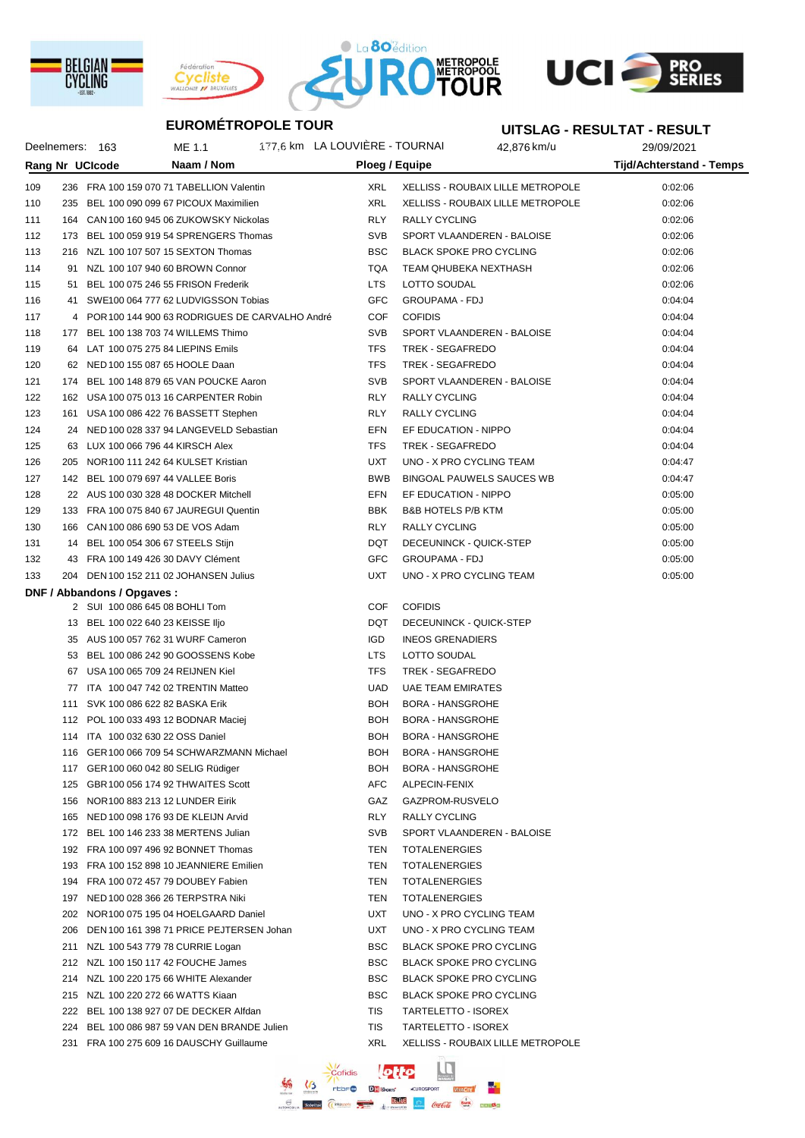







#### **UITSLAG - RESULTAT - RESULT**

|     | Deelnemers: 163 | ME 1.1                                       |                                                  | 177,6 km LA LOUVIÈRE - TOURNAI |                               | 42,876 km/u                              | 29/09/2021               |
|-----|-----------------|----------------------------------------------|--------------------------------------------------|--------------------------------|-------------------------------|------------------------------------------|--------------------------|
|     |                 | Rang Nr UCIcode                              | Naam / Nom                                       |                                | Ploeg / Equipe                |                                          | Tijd/Achterstand - Temps |
| 109 |                 | 236 FRA 100 159 070 71 TABELLION Valentin    |                                                  | <b>XRL</b>                     |                               | <b>XELLISS - ROUBAIX LILLE METROPOLE</b> | 0:02:06                  |
| 110 |                 | 235 BEL 100 090 099 67 PICOUX Maximilien     |                                                  | <b>XRL</b>                     |                               | XELLISS - ROUBAIX LILLE METROPOLE        | 0:02:06                  |
| 111 |                 | 164 CAN 100 160 945 06 ZUKOWSKY Nickolas     |                                                  | <b>RLY</b>                     | <b>RALLY CYCLING</b>          |                                          | 0:02:06                  |
| 112 | 173             | BEL 100 059 919 54 SPRENGERS Thomas          |                                                  | <b>SVB</b>                     |                               | SPORT VLAANDEREN - BALOISE               | 0:02:06                  |
| 113 |                 | 216 NZL 100 107 507 15 SEXTON Thomas         |                                                  | <b>BSC</b>                     |                               | <b>BLACK SPOKE PRO CYCLING</b>           | 0:02:06                  |
| 114 | 91              | NZL 100 107 940 60 BROWN Connor              |                                                  | TQA                            |                               | TEAM QHUBEKA NEXTHASH                    | 0:02:06                  |
| 115 | 51              | BEL 100 075 246 55 FRISON Frederik           |                                                  | <b>LTS</b>                     | LOTTO SOUDAL                  |                                          | 0:02:06                  |
| 116 | 41              | SWE100 064 777 62 LUDVIGSSON Tobias          |                                                  | <b>GFC</b>                     | <b>GROUPAMA - FDJ</b>         |                                          | 0:04:04                  |
| 117 |                 |                                              | 4 POR 100 144 900 63 RODRIGUES DE CARVALHO André | <b>COF</b>                     | <b>COFIDIS</b>                |                                          | 0:04:04                  |
| 118 |                 | 177 BEL 100 138 703 74 WILLEMS Thimo         |                                                  | <b>SVB</b>                     |                               | SPORT VLAANDEREN - BALOISE               | 0:04:04                  |
| 119 |                 | 64 LAT 100 075 275 84 LIEPINS Emils          |                                                  | <b>TFS</b>                     | TREK - SEGAFREDO              |                                          | 0:04:04                  |
| 120 |                 | 62 NED 100 155 087 65 HOOLE Daan             |                                                  | <b>TFS</b>                     | TREK - SEGAFREDO              |                                          | 0:04:04                  |
| 121 |                 | 174 BEL 100 148 879 65 VAN POUCKE Aaron      |                                                  | <b>SVB</b>                     |                               | SPORT VLAANDEREN - BALOISE               | 0:04:04                  |
| 122 | 162             | USA 100 075 013 16 CARPENTER Robin           |                                                  | <b>RLY</b>                     | RALLY CYCLING                 |                                          | 0:04:04                  |
| 123 | 161             | USA 100 086 422 76 BASSETT Stephen           |                                                  | <b>RLY</b>                     | <b>RALLY CYCLING</b>          |                                          | 0:04:04                  |
| 124 |                 | 24 NED 100 028 337 94 LANGEVELD Sebastian    |                                                  | EFN                            | EF EDUCATION - NIPPO          |                                          | 0:04:04                  |
| 125 | 63              | LUX 100 066 796 44 KIRSCH Alex               |                                                  | <b>TFS</b>                     | TREK - SEGAFREDO              |                                          | 0:04:04                  |
| 126 | 205             | NOR 100 111 242 64 KULSET Kristian           |                                                  | <b>UXT</b>                     |                               | UNO - X PRO CYCLING TEAM                 | 0:04:47                  |
| 127 |                 | 142 BEL 100 079 697 44 VALLEE Boris          |                                                  | <b>BWB</b>                     |                               | BINGOAL PAUWELS SAUCES WB                | 0:04:47                  |
| 128 |                 | 22 AUS 100 030 328 48 DOCKER Mitchell        |                                                  | <b>EFN</b>                     | EF EDUCATION - NIPPO          |                                          | 0:05:00                  |
| 129 |                 | 133 FRA 100 075 840 67 JAUREGUI Quentin      |                                                  | <b>BBK</b>                     | <b>B&amp;B HOTELS P/B KTM</b> |                                          | 0:05:00                  |
| 130 | 166             | CAN 100 086 690 53 DE VOS Adam               |                                                  | <b>RLY</b>                     | RALLY CYCLING                 |                                          | 0:05:00                  |
| 131 |                 | 14 BEL 100 054 306 67 STEELS Stijn           |                                                  | <b>DQT</b>                     |                               | DECEUNINCK - QUICK-STEP                  | 0:05:00                  |
| 132 |                 | 43 FRA 100 149 426 30 DAVY Clément           |                                                  | <b>GFC</b>                     | <b>GROUPAMA - FDJ</b>         |                                          | 0:05:00                  |
| 133 |                 | 204 DEN 100 152 211 02 JOHANSEN Julius       |                                                  | <b>UXT</b>                     |                               | UNO - X PRO CYCLING TEAM                 | 0:05:00                  |
|     |                 | DNF / Abbandons / Opgaves :                  |                                                  |                                |                               |                                          |                          |
|     |                 | 2 SUI 100 086 645 08 BOHLI Tom               |                                                  | COF                            | <b>COFIDIS</b>                |                                          |                          |
|     |                 | 13 BEL 100 022 640 23 KEISSE IIjo            |                                                  | <b>DQT</b>                     |                               | DECEUNINCK - QUICK-STEP                  |                          |
|     |                 | 35 AUS 100 057 762 31 WURF Cameron           |                                                  | <b>IGD</b>                     | <b>INEOS GRENADIERS</b>       |                                          |                          |
|     | 53              | BEL 100 086 242 90 GOOSSENS Kobe             |                                                  | <b>LTS</b>                     | LOTTO SOUDAL                  |                                          |                          |
|     | 67              | USA 100 065 709 24 REIJNEN Kiel              |                                                  | <b>TFS</b>                     | TREK - SEGAFREDO              |                                          |                          |
|     | 77              | ITA 100 047 742 02 TRENTIN Matteo            |                                                  | <b>UAD</b>                     | <b>UAE TEAM EMIRATES</b>      |                                          |                          |
|     |                 | 111 SVK 100 086 622 82 BASKA Erik            |                                                  | <b>BOH</b>                     | <b>BORA - HANSGROHE</b>       |                                          |                          |
|     |                 | 112 POL 100 033 493 12 BODNAR Maciej         |                                                  | <b>BOH</b>                     | <b>BORA - HANSGROHE</b>       |                                          |                          |
|     |                 | 114 ITA 100 032 630 22 OSS Daniel            |                                                  | <b>BOH</b>                     | <b>BORA - HANSGROHE</b>       |                                          |                          |
|     |                 | 116 GER 100 066 709 54 SCHWARZMANN Michael   |                                                  | <b>BOH</b>                     | BORA - HANSGROHE              |                                          |                          |
|     |                 | 117 GER 100 060 042 80 SELIG Rüdiger         |                                                  | <b>BOH</b>                     | <b>BORA - HANSGROHE</b>       |                                          |                          |
|     |                 | 125 GBR 100 056 174 92 THWAITES Scott        |                                                  | <b>AFC</b>                     | ALPECIN-FENIX                 |                                          |                          |
|     |                 | 156 NOR 100 883 213 12 LUNDER Eirik          |                                                  | GAZ                            | GAZPROM-RUSVELO               |                                          |                          |
|     |                 | 165 NED 100 098 176 93 DE KLEIJN Arvid       |                                                  | <b>RLY</b>                     | <b>RALLY CYCLING</b>          |                                          |                          |
|     |                 | 172 BEL 100 146 233 38 MERTENS Julian        |                                                  | <b>SVB</b>                     |                               | SPORT VLAANDEREN - BALOISE               |                          |
|     |                 | 192 FRA 100 097 496 92 BONNET Thomas         |                                                  | TEN                            | <b>TOTALENERGIES</b>          |                                          |                          |
|     |                 | 193 FRA 100 152 898 10 JEANNIERE Emilien     |                                                  | TEN                            | <b>TOTALENERGIES</b>          |                                          |                          |
|     |                 | 194 FRA 100 072 457 79 DOUBEY Fabien         |                                                  | TEN                            | <b>TOTALENERGIES</b>          |                                          |                          |
|     |                 | 197 NED 100 028 366 26 TERPSTRA Niki         |                                                  | TEN                            | <b>TOTALENERGIES</b>          |                                          |                          |
|     |                 | 202 NOR 100 075 195 04 HOELGAARD Daniel      |                                                  | <b>UXT</b>                     |                               | UNO - X PRO CYCLING TEAM                 |                          |
|     |                 | 206 DEN 100 161 398 71 PRICE PEJTERSEN Johan |                                                  | <b>UXT</b>                     |                               | UNO - X PRO CYCLING TEAM                 |                          |
|     |                 | 211 NZL 100 543 779 78 CURRIE Logan          |                                                  | <b>BSC</b>                     |                               | <b>BLACK SPOKE PRO CYCLING</b>           |                          |
|     |                 | 212 NZL 100 150 117 42 FOUCHE James          |                                                  | <b>BSC</b>                     |                               | <b>BLACK SPOKE PRO CYCLING</b>           |                          |
|     |                 | 214 NZL 100 220 175 66 WHITE Alexander       |                                                  | <b>BSC</b>                     |                               | <b>BLACK SPOKE PRO CYCLING</b>           |                          |
|     |                 | 215 NZL 100 220 272 66 WATTS Kiaan           |                                                  | <b>BSC</b>                     |                               | BLACK SPOKE PRO CYCLING                  |                          |
|     |                 | 222 BEL 100 138 927 07 DE DECKER Alfdan      |                                                  | TIS                            | TARTELETTO - ISOREX           |                                          |                          |
|     |                 | 224 BEL 100 086 987 59 VAN DEN BRANDE Julien |                                                  | TIS                            | TARTELETTO - ISOREX           |                                          |                          |
|     |                 | 231 FRA 100 275 609 16 DAUSCHY Guillaume     |                                                  | XRL                            |                               | <b>XELLISS - ROUBAIX LILLE METROPOLE</b> |                          |